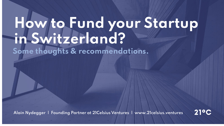# **How to Fund your Startup in Switzerland?**

**Some thoughts & recommendations.**

**Alain Nydegger | Founding Partner at 21Celsius Ventures | www.21celsius.ventures**

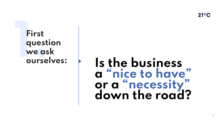$21^{\circ}$ C

### **First question we ask ourselves:**

# **1. Is the business a "nice to have" or a "necessity" down the road?**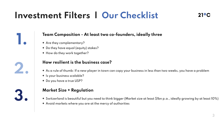### **Investment Filters | Our Checklist**

#### **Team Composition - At least two co-founders, ideally three**

**+** Are they complementary?

**1.**

**2.**

**3.**

- **+** Do they have equal (equity) stakes?
- **+** How do they work together?

#### **How resilient is the business case?**

- **+** As a rule of thumb: If a new player in town can copy your business in less than two weeks, you have a problem
- **+** Is your business scalable?
- **+** Do you have a true USP?

#### **Market Size + Regulation**

- **+** Switzerland is beautiful but you need to think bigger (Market size at least \$1bn p.a., ideally growing by at least 10%)
- **+** Avoid markets where you are at the mercy of authorities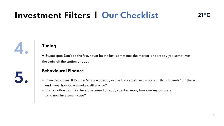### **Investment Filters | Our Checklist**

**5.**

#### **Timing**

**+** Sweet spot: Don't be the first, never be the last; sometimes the market is not ready yet, sometimes the train left the station already

#### **Behavioural Finance**

- **+** Crowded Cases: If 15 other VCs are already active in a certain field Do I still think it needs "us" there and if yes, how do we make a difference?
- **+** Confirmation Bias: Do I invest because I already spent so many hours w/ my partners on a new investment case?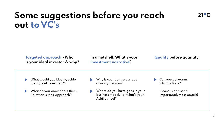### **Some suggestions before you reach out to VC's**

**Targeted approach - Who is your ideal investor & why?** **In a nutshell: What's your investment narrative?**

#### **Quality before quantity.**

What would you ideally, aside from \$, get from them?

What do you know about them,  $\blacktriangleright$ i.e. what is their approach?

- Why is your business ahead of everyone else?
- Where do you have gaps in your business model, i.e. what's your Achilles heel?
- Can you get warm introductions?

**Please: Don't send impersonal, mass emails!**

 $21^{\circ}C$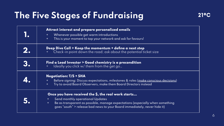### **The Five Stages of Fundraising**

| Attract interest and prepare personalized emails<br>Whenever possible get warm introductions<br>This is your moment to tap your network and ask for favours!<br>$+$                                                                                          |
|--------------------------------------------------------------------------------------------------------------------------------------------------------------------------------------------------------------------------------------------------------------|
| Deep Dive Call > Keep the momentum + define a next step<br>Check-in point down the road; ask about the potential ticket size                                                                                                                                 |
| Find a Lead Investor > Good chemistry is a precondition<br>Ideally you click w/ them from the get go                                                                                                                                                         |
| <b>Negotiation: T/S + SHA</b><br>Before signing: Discuss expectations, milestones & roles (make conscious decisions)<br>Try to avoid Board Observers, make them Board Directors instead<br>$+$                                                               |
| Once you have received the \$, the real work starts<br>Send monthly operational Updates<br>Be as transparent as possible, manage expectations (especially when something<br>$+$<br>goes "south" > release bad news to your Board immediately, never hide it) |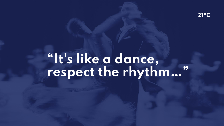$21^{\circ}$ C

## **"It's like a dance, respect the rhythm…"**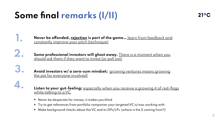### **Some final remarks (I/II)**

**1.**

**3.**

**4.**

**Never be offended, rejection is part of the game…** learn from feedback and constantly improve your pitch (technique)

**Some professional investors will ghost away.** There is a moment when you should ask them if they want to invest (or pull out) **2.**

> **Avoid investors w/ a zero-sum mindset;** growing ventures means growing the pie for everyone involved!

Listen to your gut-feeling; **especially when you receive a growing # of red-flags** while talking to a VC

- **+** Never be desperate for money, it makes you blind
- **+** Try to get references from portfolio companies your targeted VC is/was working with
- **+** Make background checks about the VC and its GPs/LPs (where is the \$ coming from?)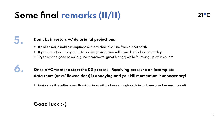### **Some final remarks (II/II)**

### **5.**

**6.**

#### **Don't bs investors w/ delusional projections**

- **+** It's ok to make bold assumptions but they should still be from planet earth
- **+** If you cannot explain your 10X top line growth, you will immediately lose credibility
- **+** Try to embed good news (e.g. new contracts, great hirings) while following up w/ investors

#### **Once a VC wants to start the DD process: Receiving access to an incomplete data room (or w/ flawed docs) is annoying and you kill momentum > unnecessary!**

**+** Make sure it is rather smooth sailing (you will be busy enough explaining them your business model)

#### **Good luck :-)**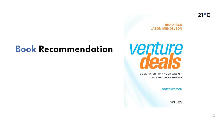### **Book Recommendation**

**BRAD FELD JASON MENDELSON** 



**BE SMARTER THAN YOUR LAWYER AND VENTURE CAPITALIST** 

**FOURTH EDITION** 

**WILEY**